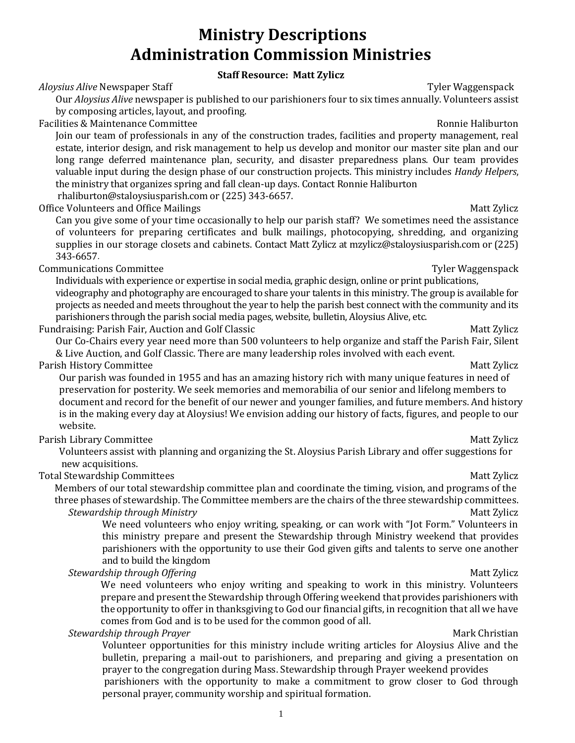# **Ministry Descriptions Administration Commission Ministries**

## **Staff Resource: Matt Zylicz**

### *Aloysius Alive* Newspaper Staff Tyler Waggenspack

Our *Aloysius Alive* newspaper is published to our parishioners four to six times annually. Volunteers assist by composing articles, layout, and proofing.

Facilities & Maintenance Committee **Ronnie Haliburton** Ronnie Haliburton

Join our team of professionals in any of the construction trades, facilities and property management, real estate, interior design, and risk management to help us develop and monitor our master site plan and our long range deferred maintenance plan, security, and disaster preparedness plans. Our team provides valuable input during the design phase of our construction projects. This ministry includes *Handy Helpers*, the ministry that organizes spring and fall clean-up days. Contact Ronnie Haliburton rhaliburton@staloysiusparish.com or (225) 343-6657.

Office Volunteers and Office Mailings and States and States Matt Zylicz Matt Zylicz Matt Zylicz

Can you give some of your time occasionally to help our parish staff? We sometimes need the assistance of volunteers for preparing certificates and bulk mailings, photocopying, shredding, and organizing supplies in our storage closets and cabinets. Contact Matt Zylicz at mzylicz@staloysiusparish.com or (225) 343-6657.

**Communications Committee Tyler Waggenspack** 

Individuals with experience or expertise in social media, graphic design, online or print publications, videography and photography are encouraged to share your talents in this ministry. The group is available for projects as needed and meets throughout the year to help the parish best connect with the community and its parishioners through the parish social media pages, website, bulletin, Aloysius Alive, etc.

Fundraising: Parish Fair, Auction and Golf Classic **Matt Zylicz** Matt Zylicz Matt Zylicz

Our Co-Chairs every year need more than 500 volunteers to help organize and staff the Parish Fair, Silent & Live Auction, and Golf Classic. There are many leadership roles involved with each event.

Parish History Committee Matt Zylicz **Matt Zylicz** Matt Zylicz **Matt Zylicz** Matt Zylicz Matt Zylicz **Matt Zylicz** 

Our parish was founded in 1955 and has an amazing history rich with many unique features in need of preservation for posterity. We seek memories and memorabilia of our senior and lifelong members to document and record for the benefit of our newer and younger families, and future members. And history is in the making every day at Aloysius! We envision adding our history of facts, figures, and people to our website.

### Parish Library Committee Matt Zylicz **Matt Zylicz** Matt Zylicz **Matt Zylicz** Matt Zylicz Matt Zylicz **Matt Zylicz**

 Volunteers assist with planning and organizing the St. Aloysius Parish Library and offer suggestions for new acquisitions.

Total Stewardship Committees and the committees of the committees of the committees of the committees of the committees of the committees of the committees of the committees of the committees of the committees of the commi

Members of our total stewardship committee plan and coordinate the timing, vision, and programs of the three phases of stewardship. The Committee members are the chairs of the three stewardship committees.

### *Stewardship through Ministry* Matt Zylicz

We need volunteers who enjoy writing, speaking, or can work with "Jot Form." Volunteers in this ministry prepare and present the Stewardship through Ministry weekend that provides parishioners with the opportunity to use their God given gifts and talents to serve one another and to build the kingdom

### **Stewardship through Offering** Matt Zylicz

We need volunteers who enjoy writing and speaking to work in this ministry. Volunteers prepare and present the Stewardship through Offering weekend that provides parishioners with the opportunity to offer in thanksgiving to God our financial gifts, in recognition that all we have comes from God and is to be used for the common good of all.

### **Stewardship through Prayer** Mark Christian **Mark Christian Mark Christian**

Volunteer opportunities for this ministry include writing articles for Aloysius Alive and the bulletin, preparing a mail-out to parishioners, and preparing and giving a presentation on prayer to the congregation during Mass. Stewardship through Prayer weekend provides

parishioners with the opportunity to make a commitment to grow closer to God through personal prayer, community worship and spiritual formation.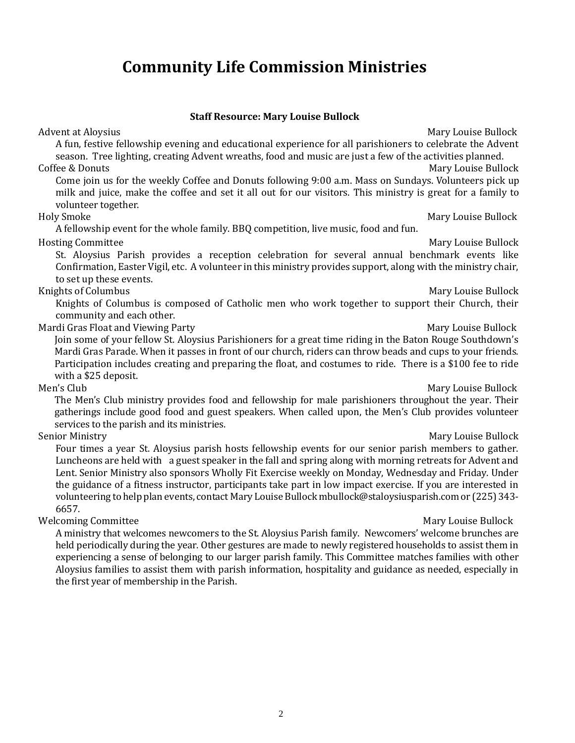# **Community Life Commission Ministries**

### **Staff Resource: Mary Louise Bullock** Advent at Aloysius National Adventure Bullock (National Adventure Mary Louise Bullock National Adventure Mary Louise Bullock

A fun, festive fellowship evening and educational experience for all parishioners to celebrate the Advent season. Tree lighting, creating Advent wreaths, food and music are just a few of the activities planned. Coffee & Donuts **Mary Louise Bullock** Coffee & Donuts **Mary Louise Bullock** Come join us for the weekly Coffee and Donuts following 9:00 a.m. Mass on Sundays. Volunteers pick up milk and juice, make the coffee and set it all out for our visitors. This ministry is great for a family to volunteer together. Holy Smoke Mary Louise Bullock A fellowship event for the whole family. BBQ competition, live music, food and fun. Hosting Committee Mary Louise Bullock St. Aloysius Parish provides a reception celebration for several annual benchmark events like Confirmation, Easter Vigil, etc. A volunteer in this ministry provides support, along with the ministry chair, to set up these events. Knights of Columbus **Mary Louise Bullock** Mary Louise Bullock Knights of Columbus is composed of Catholic men who work together to support their Church, their community and each other. Mardi Gras Float and Viewing Party **Martia Communist Construction** Mary Louise Bullock Join some of your fellow St. Aloysius Parishioners for a great time riding in the Baton Rouge Southdown's Mardi Gras Parade. When it passes in front of our church, riders can throw beads and cups to your friends. Participation includes creating and preparing the float, and costumes to ride. There is a \$100 fee to ride with a \$25 deposit. Men's Club Mary Louise Bullock The Men's Club ministry provides food and fellowship for male parishioners throughout the year. Their gatherings include good food and guest speakers. When called upon, the Men's Club provides volunteer services to the parish and its ministries. Senior Ministry **Mary Louise Bullock** Senior Ministry **Mary Louise Bullock** Four times a year St. Aloysius parish hosts fellowship events for our senior parish members to gather. Luncheons are held with a guest speaker in the fall and spring along with morning retreats for Advent and

Lent. Senior Ministry also sponsors Wholly Fit Exercise weekly on Monday, Wednesday and Friday. Under the guidance of a fitness instructor, participants take part in low impact exercise. If you are interested in volunteering to help plan events, contact Mary Louise Bullock mbullock@staloysiusparish.com or (225) 343- 6657.

Welcoming Committee Mary Louise Bullock

A ministry that welcomes newcomers to the St. Aloysius Parish family. Newcomers' welcome brunches are held periodically during the year. Other gestures are made to newly registered households to assist them in experiencing a sense of belonging to our larger parish family. This Committee matches families with other Aloysius families to assist them with parish information, hospitality and guidance as needed, especially in the first year of membership in the Parish.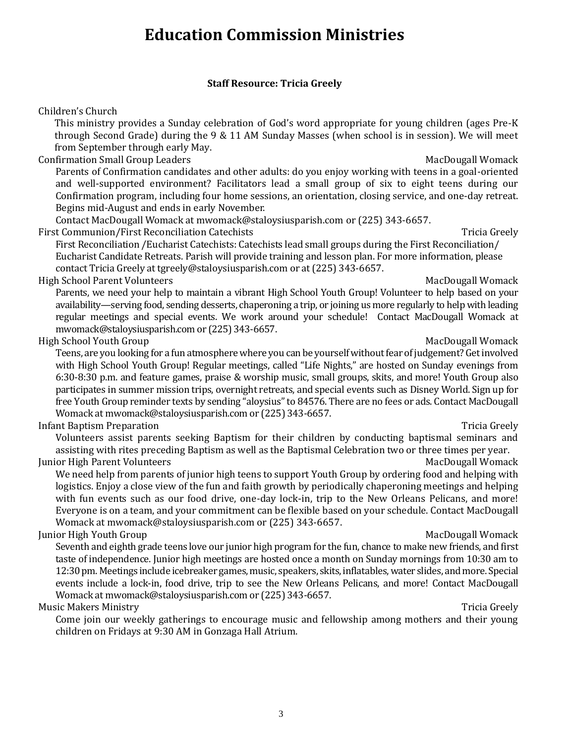# **Education Commission Ministries**

## **Staff Resource: Tricia Greely**

Children's Church

This ministry provides a Sunday celebration of God's word appropriate for young children (ages Pre-K through Second Grade) during the 9 & 11 AM Sunday Masses (when school is in session). We will meet from September through early May.

Confirmation Small Group Leaders and America Confirmation Small Group Leaders MacDougall Womack

Parents of Confirmation candidates and other adults: do you enjoy working with teens in a goal-oriented and well-supported environment? Facilitators lead a small group of six to eight teens during our Confirmation program, including four home sessions, an orientation, closing service, and one-day retreat. Begins mid-August and ends in early November.

Contact MacDougall Womack at mwomack@staloysiusparish.com or (225) 343-6657.

First Communion/First Reconciliation Catechists Tricia Greely Tricia Greely

First Reconciliation /Eucharist Catechists: Catechists lead small groups during the First Reconciliation/ Eucharist Candidate Retreats. Parish will provide training and lesson plan. For more information, please contact Tricia Greely at [tgreely@staloysiusparish.com](mailto:tgreely@staloysiusparish.com) or at (225) 343-6657.

High School Parent Volunteers and the state of the state of the MacDougall Womack MacDougall Womack

Parents, we need your help to maintain a vibrant High School Youth Group! Volunteer to help based on your availability—serving food, sending desserts, chaperoning a trip, or joining us more regularly to help with leading regular meetings and special events. We work around your schedule!Contact MacDougall Womack at mwomack@staloysiusparish.com or (225) 343-6657.

High School Youth Group MacDougall Womack

Teens, are you looking for a fun atmosphere where you can be yourself without fear of judgement? Get involved with High School Youth Group! Regular meetings, called "Life Nights," are hosted on Sunday evenings from 6:30-8:30 p.m. and feature games, praise & worship music, small groups, skits, and more! Youth Group also participates in summer mission trips, overnight retreats, and special events such as Disney World. Sign up for free Youth Group reminder texts by sending "aloysius" to 84576. There are no fees or ads. Contact MacDougall Womack at mwomack@staloysiusparish.com or (225) 343-6657.

Infant Baptism Preparation **Tricia Greely** and the set of the set of the set of the set of the set of the set of the set of the set of the set of the set of the set of the set of the set of the set of the set of the set of

Volunteers assist parents seeking Baptism for their children by conducting baptismal seminars and assisting with rites preceding Baptism as well as the Baptismal Celebration two or three times per year.

Junior High Parent Volunteers and the state of the state of the MacDougall Womack

We need help from parents of junior high teens to support Youth Group by ordering food and helping with logistics. Enjoy a close view of the fun and faith growth by periodically chaperoning meetings and helping with fun events such as our food drive, one-day lock-in, trip to the New Orleans Pelicans, and more! Everyone is on a team, and your commitment can be flexible based on your schedule. Contact MacDougall Womack at mwomack@staloysiusparish.com or (225) 343-6657.

## Junior High Youth Group MacDougall Womack (New York) and MacDougall Womack (New York) MacDougall Womack

Seventh and eighth grade teens love our junior high program for the fun, chance to make new friends, and first taste of independence. Junior high meetings are hosted once a month on Sunday mornings from 10:30 am to 12:30 pm. Meetings include icebreaker games, music, speakers, skits, inflatables, water slides, and more. Special events include a lock-in, food drive, trip to see the New Orleans Pelicans, and more! Contact MacDougall Womack at mwomack@staloysiusparish.com or (225) 343-6657.

### Music Makers Ministry Tricia Greely

Come join our weekly gatherings to encourage music and fellowship among mothers and their young children on Fridays at 9:30 AM in Gonzaga Hall Atrium.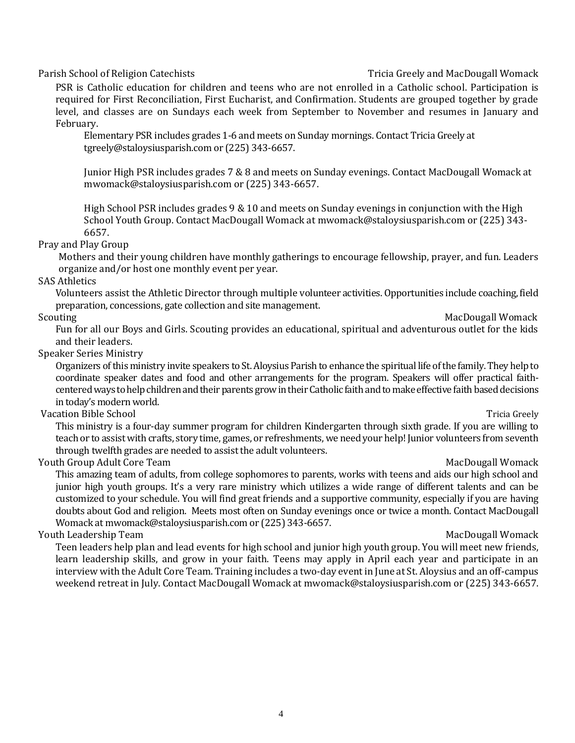### Parish School of Religion Catechists **Tricia Greely and MacDougall Womack** Parish School of Religion Catechists

PSR is Catholic education for children and teens who are not enrolled in a Catholic school. Participation is required for First Reconciliation, First Eucharist, and Confirmation. Students are grouped together by grade level, and classes are on Sundays each week from September to November and resumes in January and February.

Elementary PSR includes grades 1-6 and meets on Sunday mornings. Contact Tricia Greely at tgreely@staloysiusparish.com or (225) 343-6657.

Junior High PSR includes grades 7 & 8 and meets on Sunday evenings. Contact MacDougall Womack at mwomack@staloysiusparish.com or (225) 343-6657.

High School PSR includes grades 9 & 10 and meets on Sunday evenings in conjunction with the High School Youth Group. Contact MacDougall Womack at mwomack@staloysiusparish.com or (225) 343- 6657.

### Pray and Play Group

Mothers and their young children have monthly gatherings to encourage fellowship, prayer, and fun. Leaders organize and/or host one monthly event per year.

### SAS Athletics

Volunteers assist the Athletic Director through multiple volunteer activities. Opportunities include coaching, field preparation, concessions, gate collection and site management.

### Scouting MacDougall Womack

Fun for all our Boys and Girls. Scouting provides an educational, spiritual and adventurous outlet for the kids and their leaders.

### Speaker Series Ministry

Organizers of this ministry invite speakers to St. Aloysius Parish to enhance the spiritual life of the family.They help to coordinate speaker dates and food and other arrangements for the program. Speakers will offer practical faithcentered ways to help children and their parents grow in their Catholic faith and to make effective faith based decisions in today's modern world.

### Vacation Bible School Tricia Greely

This ministry is a four-day summer program for children Kindergarten through sixth grade. If you are willing to teach or to assist with crafts, story time, games, or refreshments, we need your help! Junior volunteers from seventh through twelfth grades are needed to assist the adult volunteers.

### Youth Group Adult Core Team MacDougall Womack

This amazing team of adults, from college sophomores to parents, works with teens and aids our high school and junior high youth groups. It's a very rare ministry which utilizes a wide range of different talents and can be customized to your schedule. You will find great friends and a supportive community, especially if you are having doubts about God and religion. Meets most often on Sunday evenings once or twice a month. Contact MacDougall Womack a[t mwomack@staloysiusparish.com](mailto:mwomack@staloysiusparish.com) or (225) 343-6657.

### Youth Leadership Team MacDougall Womack

Teen leaders help plan and lead events for high school and junior high youth group. You will meet new friends, learn leadership skills, and grow in your faith. Teens may apply in April each year and participate in an interview with the Adult Core Team. Training includes a two-day event in June at St. Aloysius and an off-campus weekend retreat in July. Contact MacDougall Womack at mwomack@staloysiusparish.com or (225) 343-6657.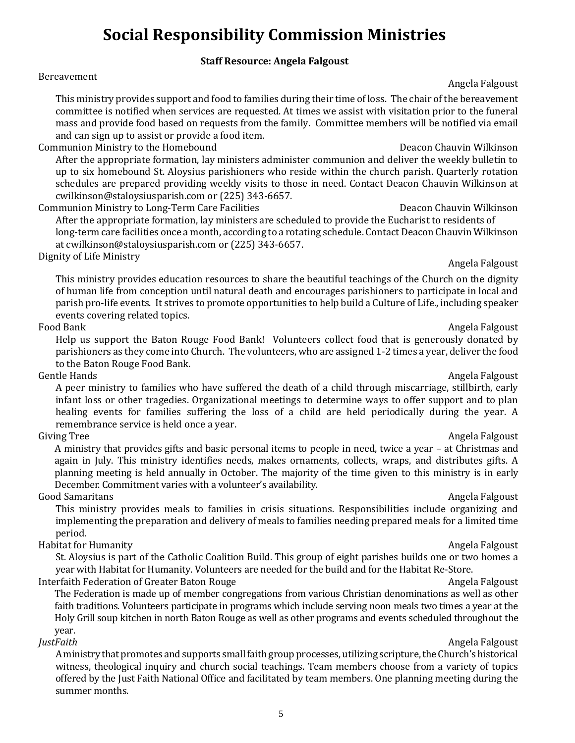# **Social Responsibility Commission Ministries**

### **Staff Resource: Angela Falgoust**

# Bereavement Angela Falgoust (1999), and the set of the set of the set of the set of the set of the set of the s

This ministry provides support and food to families during their time of loss. The chair of the bereavement committee is notified when services are requested. At times we assist with visitation prior to the funeral mass and provide food based on requests from the family. Committee members will be notified via email and can sign up to assist or provide a food item.

Communion Ministry to the Homebound **Deacon Chauvin Wilkinson** Deacon Chauvin Wilkinson

After the appropriate formation, lay ministers administer communion and deliver the weekly bulletin to up to six homebound St. Aloysius parishioners who reside within the church parish. Quarterly rotation schedules are prepared providing weekly visits to those in need. Contact Deacon Chauvin Wilkinson at cwilkinson@staloysiusparish.com or (225) 343-6657.

Communion Ministry to Long-Term Care Facilities **Exercise Sease Sease Communion Chauvin Wilkinson** After the appropriate formation, lay ministers are scheduled to provide the Eucharist to residents of long-term care facilities once a month, according to a rotating schedule. Contact Deacon Chauvin Wilkinson at cwilkinson@staloysiusparish.com or (225) 343-6657.

Dignity of Life Ministry and the Control of Life Ministry Angela Falgoust

This ministry provides education resources to share the beautiful teachings of the Church on the dignity of human life from conception until natural death and encourages parishioners to participate in local and parish pro-life events. It strives to promote opportunities to help build a Culture of Life., including speaker events covering related topics.

### Food Bank Angela Falgoust and the Second Bank Angela Falgoust and the Second Bank Angela Falgoust and the Second Bank Angela Falgoust and the Second Bank Angela Falgoust and the Second Bank Angela Falgoust and the Second B

Help us support the Baton Rouge Food Bank! Volunteers collect food that is generously donated by parishioners as they come into Church. The volunteers, who are assigned 1-2 times a year, deliver the food to the Baton Rouge Food Bank.

### Gentle Hands **Angela Falgoust Angela Falgoust Angela Falgoust Angela Falgoust**

A peer ministry to families who have suffered the death of a child through miscarriage, stillbirth, early infant loss or other tragedies. Organizational meetings to determine ways to offer support and to plan healing events for families suffering the loss of a child are held periodically during the year. A remembrance service is held once a year.

A ministry that provides gifts and basic personal items to people in need, twice a year – at Christmas and again in July. This ministry identifies needs, makes ornaments, collects, wraps, and distributes gifts. A planning meeting is held annually in October. The majority of the time given to this ministry is in early December. Commitment varies with a volunteer's availability.

### Good Samaritans **Angela Falgoust Angela Falgoust Angela Falgoust Angela Falgoust**

This ministry provides meals to families in crisis situations. Responsibilities include organizing and implementing the preparation and delivery of meals to families needing prepared meals for a limited time period.

### Habitat for Humanity **Angela Falgoust** Angela Falgoust **Angela Falgoust**

St. Aloysius is part of the Catholic Coalition Build. This group of eight parishes builds one or two homes a year with Habitat for Humanity. Volunteers are needed for the build and for the Habitat Re-Store.

Interfaith Federation of Greater Baton Rouge Angela Falgoust Angela Falgoust

The Federation is made up of member congregations from various Christian denominations as well as other faith traditions. Volunteers participate in programs which include serving noon meals two times a year at the Holy Grill soup kitchen in north Baton Rouge as well as other programs and events scheduled throughout the year.

*JustFaith* Angela Falgoust A ministry that promotes and supports small faith group processes, utilizing scripture, the Church's historical witness, theological inquiry and church social teachings. Team members choose from a variety of topics offered by the Just Faith National Office and facilitated by team members. One planning meeting during the summer months.

5

# Giving Tree **Angela Falgoust Community Community Community Community Community Community Community Community Community Community Community Community Community Community Community Community**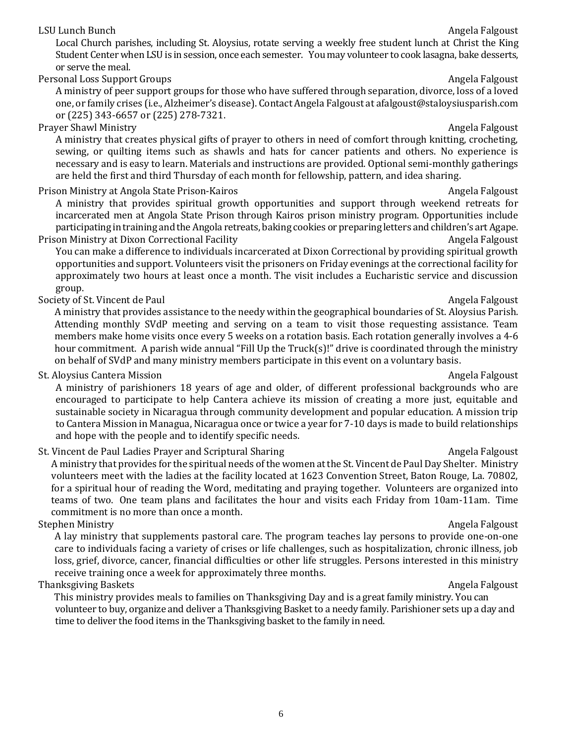### LSU Lunch Bunch **Angela Falgoust** Angela Falgoust

Local Church parishes, including St. Aloysius, rotate serving a weekly free student lunch at Christ the King Student Center when LSU is in session, once each semester. You may volunteer to cook lasagna, bake desserts, or serve the meal.

Personal Loss Support Groups Angela Falgoust Angela Falgoust Angela Falgoust Angela Falgoust

A ministry of peer support groups for those who have suffered through separation, divorce, loss of a loved one, or family crises (i.e., Alzheimer's disease). Contact Angela Falgoust at afalgoust@staloysiusparish.com or (225) 343-6657 or (225) 278-7321.

### Prayer Shawl Ministry **Angela Falgoust Angela Falgoust Angela Falgoust Angela Falgoust**

A ministry that creates physical gifts of prayer to others in need of comfort through knitting, crocheting, sewing, or quilting items such as shawls and hats for cancer patients and others. No experience is necessary and is easy to learn. Materials and instructions are provided. Optional semi-monthly gatherings are held the first and third Thursday of each month for fellowship, pattern, and idea sharing.

Prison Ministry at Angola State Prison-Kairos **Angela Falgoust** Angela Falgoust

A ministry that provides spiritual growth opportunities and support through weekend retreats for incarcerated men at Angola State Prison through Kairos prison ministry program. Opportunities include participating in training and the Angola retreats, baking cookies or preparing letters and children's art Agape. Prison Ministry at Dixon Correctional Facility Angela Falgoust Angela Falgoust

You can make a difference to individuals incarcerated at Dixon Correctional by providing spiritual growth opportunities and support. Volunteers visit the prisoners on Friday evenings at the correctional facility for approximately two hours at least once a month. The visit includes a Eucharistic service and discussion group.

Society of St. Vincent de Paul Angela Falgoust and Angela Falgoust and Angela Falgoust and Angela Falgoust and Angela Falgoust and Angela Falgoust and Angela Falgoust and Angela Falgoust and Angela Falgoust and Angela Falg

A ministry that provides assistance to the needy within the geographical boundaries of St. Aloysius Parish. Attending monthly SVdP meeting and serving on a team to visit those requesting assistance. Team members make home visits once every 5 weeks on a rotation basis. Each rotation generally involves a 4-6 hour commitment. A parish wide annual "Fill Up the Truck(s)!" drive is coordinated through the ministry on behalf of SVdP and many ministry members participate in this event on a voluntary basis.

St. Aloysius Cantera Mission Angela Falgoust Angela Falgoust Angela Falgoust Angela Falgoust

A ministry of parishioners 18 years of age and older, of different professional backgrounds who are encouraged to participate to help Cantera achieve its mission of creating a more just, equitable and sustainable society in Nicaragua through community development and popular education. A mission trip to Cantera Mission in Managua, Nicaragua once or twice a year for 7-10 days is made to build relationships and hope with the people and to identify specific needs.

St. Vincent de Paul Ladies Prayer and Scriptural Sharing Angela Falgoust Angela Falgoust

A ministry that provides for the spiritual needs of the women at the St. Vincent de Paul Day Shelter. Ministry volunteers meet with the ladies at the facility located at 1623 Convention Street, Baton Rouge, La. 70802, for a spiritual hour of reading the Word, meditating and praying together. Volunteers are organized into teams of two. One team plans and facilitates the hour and visits each Friday from 10am-11am. Time commitment is no more than once a month.

### Stephen Ministry **Angela Falgoust** Stephen Ministry **Angela Falgoust**

A lay ministry that supplements pastoral care. The program teaches lay persons to provide one-on-one care to individuals facing a variety of crises or life challenges, such as hospitalization, chronic illness, job loss, grief, divorce, cancer, financial difficulties or other life struggles. Persons interested in this ministry receive training once a week for approximately three months.

### Thanksgiving Baskets **Angela Falgoust Angela Falgoust** Angela Falgoust **Angela Falgoust**

 This ministry provides meals to families on Thanksgiving Day and is a great family ministry. You can volunteer to buy, organize and deliver a Thanksgiving Basket to a needy family. Parishioner sets up a day and time to deliver the food items in the Thanksgiving basket to the family in need.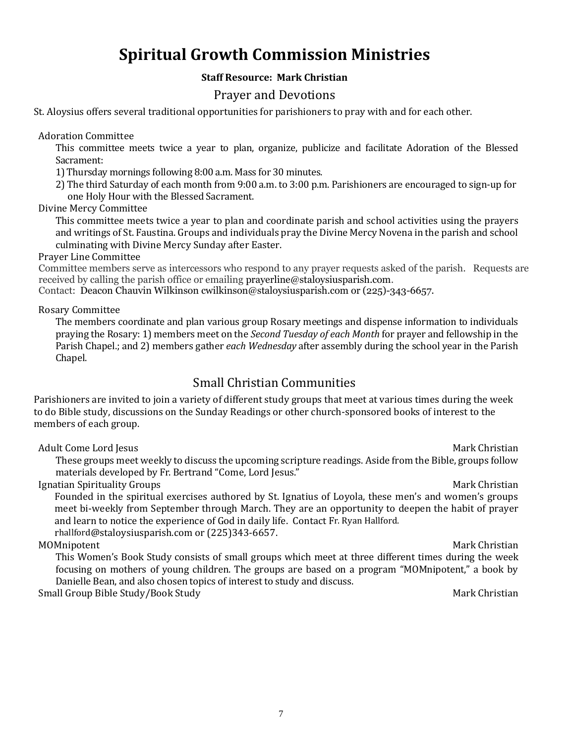# **Spiritual Growth Commission Ministries**

### **Staff Resource: Mark Christian**

## Prayer and Devotions

St. Aloysius offers several traditional opportunities for parishioners to pray with and for each other.

Adoration Committee

This committee meets twice a year to plan, organize, publicize and facilitate Adoration of the Blessed Sacrament:

1) Thursday mornings following 8:00 a.m. Mass for 30 minutes.

2) The third Saturday of each month from 9:00 a.m. to 3:00 p.m. Parishioners are encouraged to sign-up for one Holy Hour with the Blessed Sacrament.

Divine Mercy Committee

This committee meets twice a year to plan and coordinate parish and school activities using the prayers and writings of St. Faustina. Groups and individuals pray the Divine Mercy Novena in the parish and school culminating with Divine Mercy Sunday after Easter.

Prayer Line Committee

Committee members serve as intercessors who respond to any prayer requests asked of the parish. Requests are received by calling the parish office or emailin[g prayerline@staloysiusparish.com.](mailto:prayerline@staloysiusparish.com)

Contact: Deacon Chauvin [Wilkinson](javascript:void(location.href=) [cwilkinson@staloysiusparish.com](mailto:cwilkinson@staloysiusparish.com) or (225)-343-6657.

Rosary Committee

The members coordinate and plan various group Rosary meetings and dispense information to individuals praying the Rosary: 1) members meet on the *Second Tuesday of each Month* for prayer and fellowship in the Parish Chapel.; and 2) members gather *each Wednesday* after assembly during the school year in the Parish Chapel.

# Small Christian Communities

Parishioners are invited to join a variety of different study groups that meet at various times during the week to do Bible study, discussions on the Sunday Readings or other church-sponsored books of interest to the members of each group.

Adult Come Lord Jesus **Mark Christian** Adult Come Lord Jesus Mark Christian

These groups meet weekly to discuss the upcoming scripture readings. Aside from the Bible, groups follow materials developed by Fr. Bertrand "Come, Lord Jesus."

**Ignatian Spirituality Groups Mark Christian** Spirituality Groups Mark Christian Mark Christian

Founded in the spiritual exercises authored by St. Ignatius of Loyola, these men's and women's groups meet bi-weekly from September through March. They are an opportunity to deepen the habit of prayer and learn to notice the experience of God in daily life. Contact Fr. Ryan Hallford. rhallford[@staloysiusparish.com](mailto:rhallford@staloysiusparish.com) or (225)343-6657.

MOMnipotent **Mark Christian** 

This Women's Book Study consists of small groups which meet at three different times during the week focusing on mothers of young children. The groups are based on a program "MOMnipotent," a book by Danielle Bean, and also chosen topics of interest to study and discuss.

Small Group Bible Study/Book Study Mark Christian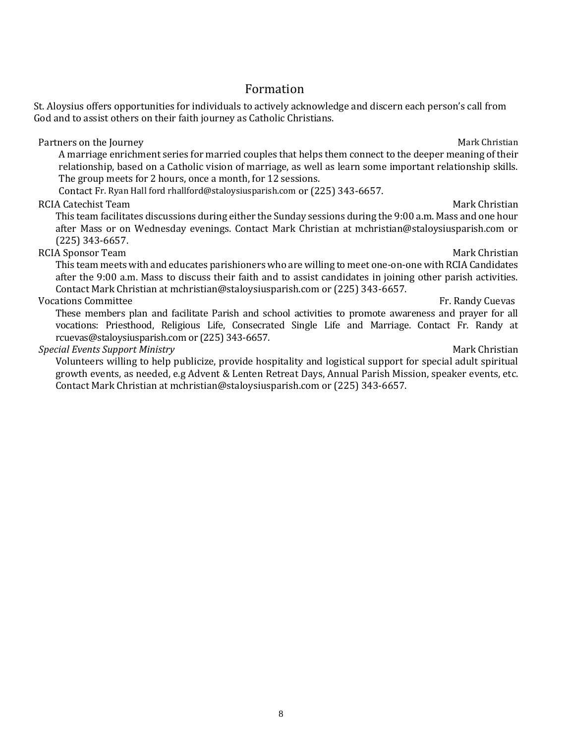growth events, as needed, e.g Advent & Lenten Retreat Days, Annual Parish Mission, speaker events, etc. Contact Mark Christian at mchristian@staloysiusparish.com or (225) 343-6657.

# Formation

St. Aloysius offers opportunities for individuals to actively acknowledge and discern each person's call from God and to assist others on their faith journey as Catholic Christians.

Partners on the Journey Mark Christian and the Journey Mark Christian Mark Christian A marriage enrichment series for married couples that helps them connect to the deeper meaning of their relationship, based on a Catholic vision of marriage, as well as learn some important relationship skills. The group meets for 2 hours, once a month, for 12 sessions.

Contact Fr. Ryan Hall ford rhallford@staloysiusparish.com or (225) 343-6657.

### RCIA Catechist Team and the control of the control of the control of the control of the christian mark Christian

This team facilitates discussions during either the Sunday sessions during the 9:00 a.m. Mass and one hour after Mass or on Wednesday evenings. Contact Mark Christian at mchristian@staloysiusparish.com or (225) 343-6657.

RCIA Sponsor Team and the settlement of the settlement of the settlement of the Mark Christian Mark Christian This team meets with and educates parishioners who are willing to meet one-on-one with RCIA Candidates after the 9:00 a.m. Mass to discuss their faith and to assist candidates in joining other parish activities. Contact Mark Christian at mchristian@staloysiusparish.com or (225) 343-6657.

Vocations Committee **Fr. Randy Cuevas** These members plan and facilitate Parish and school activities to promote awareness and prayer for all vocations: Priesthood, Religious Life, Consecrated Single Life and Marriage. Contact Fr. Randy at [rcuevas@staloysiusparish.com](mailto:rcuevas@staloysiusparish.com) or (225) 343-6657.

### **Special Events Support Ministry Mark Christian** Support Alian Support Alian Support Alian Support Alian Support M

Volunteers willing to help publicize, provide hospitality and logistical support for special adult spiritual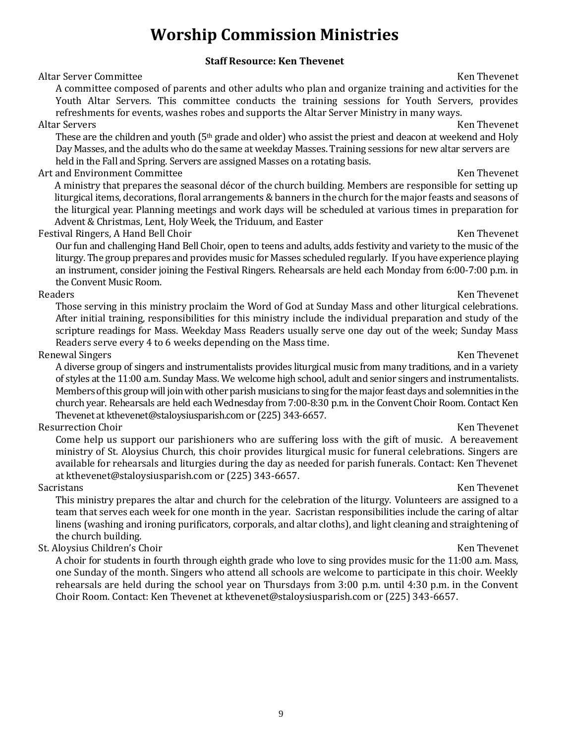# **Worship Commission Ministries**

### **Staff Resource: Ken Thevenet**

Altar Server Committee Ken Theorem and the Server Committee Ken Thevenet Ken Thevenet

A committee composed of parents and other adults who plan and organize training and activities for the Youth Altar Servers. This committee conducts the training sessions for Youth Servers, provides refreshments for events, washes robes and supports the Altar Server Ministry in many ways.

### Altar Servers Ken Thevenet

These are the children and youth  $(5<sup>th</sup>$  grade and older) who assist the priest and deacon at weekend and Holy Day Masses, and the adults who do the same at weekday Masses. Training sessions for new altar servers are held in the Fall and Spring. Servers are assigned Masses on a rotating basis.

### Art and Environment Committee **Ken Thevenet** Ken Thevenet

A ministry that prepares the seasonal décor of the church building. Members are responsible for setting up liturgical items, decorations, floral arrangements & banners in the church for the major feasts and seasons of the liturgical year. Planning meetings and work days will be scheduled at various times in preparation for Advent & Christmas, Lent, Holy Week, the Triduum, and Easter

Festival Ringers, A Hand Bell Choir New York 1998 and the Venetic Section 1999 and Ken Thevenet

Our fun and challenging Hand Bell Choir, open to teens and adults, adds festivity and variety to the music of the liturgy. The group prepares and provides music for Masses scheduled regularly. If you have experience playing an instrument, consider joining the Festival Ringers. Rehearsals are held each Monday from 6:00-7:00 p.m. in the Convent Music Room.

### Readers **Ken Thevenet**

Those serving in this ministry proclaim the Word of God at Sunday Mass and other liturgical celebrations. After initial training, responsibilities for this ministry include the individual preparation and study of the scripture readings for Mass. Weekday Mass Readers usually serve one day out of the week; Sunday Mass Readers serve every 4 to 6 weeks depending on the Mass time.

### Renewal Singers **Ken Thevenet** Ken Thevenet **Ken Thevenet**

A diverse group of singers and instrumentalists provides liturgical music from many traditions, and in a variety of styles at the 11:00 a.m. Sunday Mass. We welcome high school, adult and senior singers and instrumentalists. Members of this group will join with other parish musicians to sing for the major feast days and solemnities in the church year. Rehearsals are held each Wednesday from 7:00-8:30 p.m. in the Convent Choir Room. Contact Ken Thevenet at kthevenet@staloysiusparish.com or (225) 343-6657.

### Resurrection Choir Ken Thevenet

Come help us support our parishioners who are suffering loss with the gift of music. A bereavement ministry of St. Aloysius Church, this choir provides liturgical music for funeral celebrations. Singers are available for rehearsals and liturgies during the day as needed for parish funerals. Contact: Ken Thevenet at kthevenet@staloysiusparish.com or (225) 343-6657. Sacristans Ken Thevenet

This ministry prepares the altar and church for the celebration of the liturgy. Volunteers are assigned to a team that serves each week for one month in the year. Sacristan responsibilities include the caring of altar linens (washing and ironing purificators, corporals, and altar cloths), and light cleaning and straightening of the church building.

### St. Aloysius Children's Choir New York Choir New York Choir New York Choir New York Choir New York Choir New York Choir

A choir for students in fourth through eighth grade who love to sing provides music for the 11:00 a.m. Mass, one Sunday of the month. Singers who attend all schools are welcome to participate in this choir. Weekly rehearsals are held during the school year on Thursdays from 3:00 p.m. until 4:30 p.m. in the Convent Choir Room. Contact: Ken Thevenet at kthevenet@staloysiusparish.com or (225) 343-6657.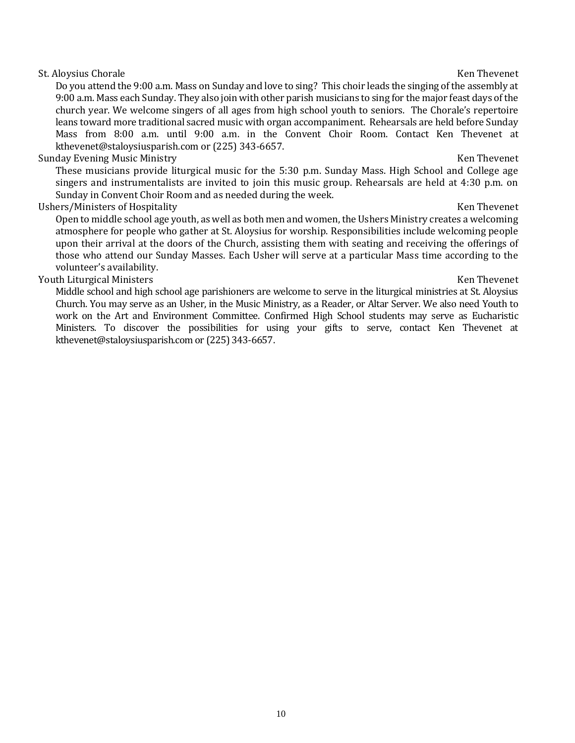### St. Aloysius Chorale **Ken Thevenet** Ken Thevenet **Ken Thevenet**

Do you attend the 9:00 a.m. Mass on Sunday and love to sing? This choir leads the singing of the assembly at 9:00 a.m. Mass each Sunday. They also join with other parish musicians to sing for the major feast days of the church year. We welcome singers of all ages from high school youth to seniors. The Chorale's repertoire leans toward more traditional sacred music with organ accompaniment. Rehearsals are held before Sunday Mass from 8:00 a.m. until 9:00 a.m. in the Convent Choir Room. Contact Ken Thevenet at kthevenet@staloysiusparish.com or (225) 343-6657.

### Sunday Evening Music Ministry **Ken Thevenet** Constanting Sunday Evening Music Ministry **Ken Thevenet**

These musicians provide liturgical music for the 5:30 p.m. Sunday Mass. High School and College age singers and instrumentalists are invited to join this music group. Rehearsals are held at 4:30 p.m. on Sunday in Convent Choir Room and as needed during the week.

### Ushers/Ministers of Hospitality **Ken Theoret** Ken Thevenet

Open to middle school age youth, as well as both men and women, the Ushers Ministry creates a welcoming atmosphere for people who gather at St. Aloysius for worship. Responsibilities include welcoming people upon their arrival at the doors of the Church, assisting them with seating and receiving the offerings of those who attend our Sunday Masses. Each Usher will serve at a particular Mass time according to the volunteer's availability.

### Youth Liturgical Ministers Ken Thevenet

Middle school and high school age parishioners are welcome to serve in the liturgical ministries at St. Aloysius Church. You may serve as an Usher, in the Music Ministry, as a Reader, or Altar Server. We also need Youth to work on the Art and Environment Committee. Confirmed High School students may serve as Eucharistic Ministers. To discover the possibilities for using your gifts to serve, contact Ken Thevenet at kthevenet@staloysiusparish.com or (225) 343-6657.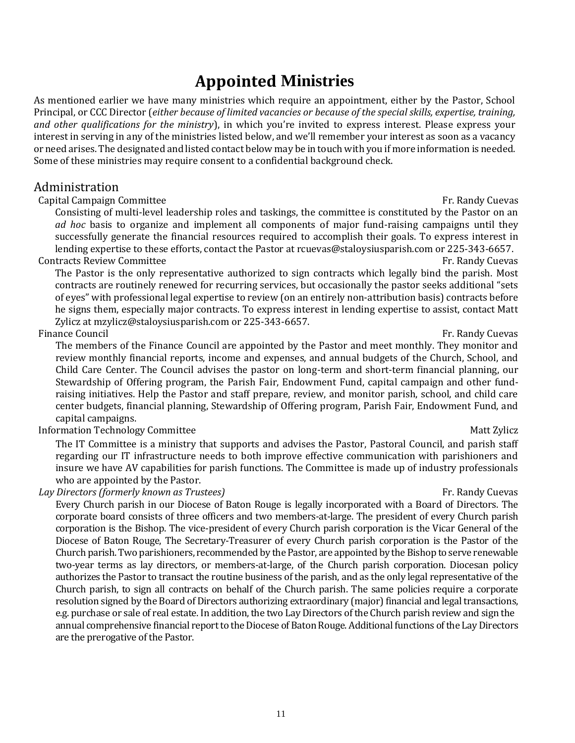# **Appointed Ministries**

As mentioned earlier we have many ministries which require an appointment, either by the Pastor, School Principal, or CCC Director (*either because of limited vacancies or because of the special skills, expertise, training, and other qualifications for the ministry*), in which you're invited to express interest. Please express your interest in serving in any of the ministries listed below, and we'll remember your interest as soon as a vacancy or need arises. The designated and listed contact below may be in touch with you if more information is needed. Some of these ministries may require consent to a confidential background check.

## Administration

### Capital Campaign Committee **Fr. Randy Cuevas** Capital Campaign Committee **Fr. Randy Cuevas**

Consisting of multi-level leadership roles and taskings, the committee is constituted by the Pastor on an *ad hoc* basis to organize and implement all components of major fund-raising campaigns until they successfully generate the financial resources required to accomplish their goals. To express interest in lending expertise to these efforts, contact the Pastor at [rcuevas@staloysiusparish.com](mailto:rcuevas@staloysiusparish.com) or 225-343-6657. Contracts Review Committee Fr. Randy Cuevas

The Pastor is the only representative authorized to sign contracts which legally bind the parish. Most contracts are routinely renewed for recurring services, but occasionally the pastor seeks additional "sets of eyes" with professional legal expertise to review (on an entirely non-attribution basis) contracts before he signs them, especially major contracts. To express interest in lending expertise to assist, contact Matt Zylicz at [mzylicz@staloysiusparish.com](mailto:mzylicz@staloysiusparish.com) or 225-343-6657.

### Finance Council Fr. Randy Cuevas

The members of the Finance Council are appointed by the Pastor and meet monthly. They monitor and review monthly financial reports, income and expenses, and annual budgets of the Church, School, and Child Care Center. The Council advises the pastor on long-term and short-term financial planning, our Stewardship of Offering program, the Parish Fair, Endowment Fund, capital campaign and other fundraising initiatives. Help the Pastor and staff prepare, review, and monitor parish, school, and child care center budgets, financial planning, Stewardship of Offering program, Parish Fair, Endowment Fund, and capital campaigns.

## Information Technology Committee Matt Zylicz and Technology Committee Matt Zylicz and Technology Committee Matt Zylicz

The IT Committee is a ministry that supports and advises the Pastor, Pastoral Council, and parish staff regarding our IT infrastructure needs to both improve effective communication with parishioners and insure we have AV capabilities for parish functions. The Committee is made up of industry professionals who are appointed by the Pastor.

### *Lay Directors (formerly known as Trustees)* **Fig. 2 Fig. 2 Fig. 2 Fig. 2 Fig. 2 Fig. 2 Fig. 2 Fig. 2 Fig. 2 Fig. 2 Fig. 2 Fig. 2 Fig. 2 Fig. 2 Fig. 2 Fig. 2 Fig. 2 Fig. 2 Fig. 2 Fig.**

Every Church parish in our Diocese of Baton Rouge is legally incorporated with a Board of Directors. The corporate board consists of three officers and two members-at-large. The president of every Church parish corporation is the Bishop. The vice-president of every Church parish corporation is the Vicar General of the Diocese of Baton Rouge, The Secretary-Treasurer of every Church parish corporation is the Pastor of the Church parish. Two parishioners, recommended by the Pastor, are appointed by the Bishop to serve renewable two-year terms as lay directors, or members-at-large, of the Church parish corporation. Diocesan policy authorizes the Pastor to transact the routine business of the parish, and as the only legal representative of the Church parish, to sign all contracts on behalf of the Church parish. The same policies require a corporate resolution signed by the Board of Directors authorizing extraordinary (major) financial and legal transactions, e.g. purchase or sale of real estate. In addition, the two Lay Directors of the Church parish review and sign the annual comprehensive financial report to the Diocese of Baton Rouge. Additional functions of the Lay Directors are the prerogative of the Pastor.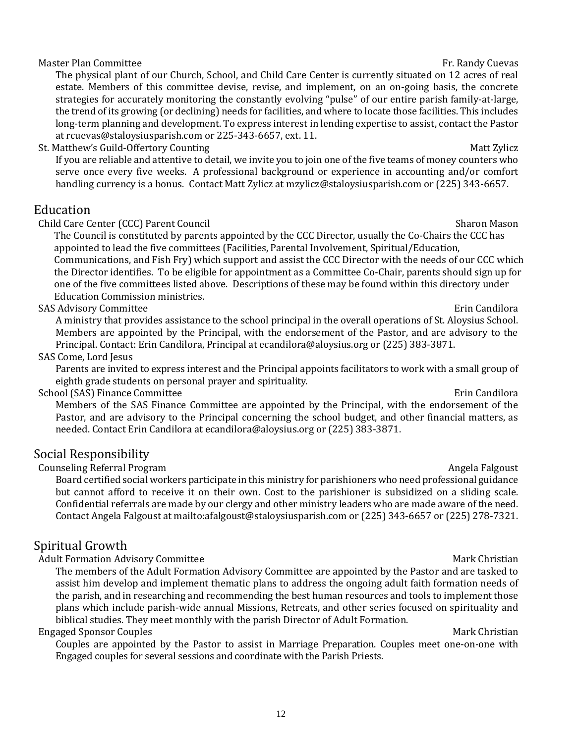### Master Plan Committee Fr. Randy Cuevas And The State of the State of the State of the State of the State of the State of the State of the State of the State of the State of the State of the State of the State of the State

The physical plant of our Church, School, and Child Care Center is currently situated on 12 acres of real estate. Members of this committee devise, revise, and implement, on an on-going basis, the concrete strategies for accurately monitoring the constantly evolving "pulse" of our entire parish family-at-large, the trend of its growing (or declining) needs for facilities, and where to locate those facilities. This includes long-term planning and development. To express interest in lending expertise to assist, contact the Pastor a[t rcuevas@staloysiusparish.com](mailto:rcuevas@staloysiusparish.com) or 225-343-6657, ext. 11.

St. Matthew's Guild-Offertory Counting Matt Zylicz and Matt Zylicz and Matt Zylicz and Matt Zylicz and Matt Zylicz

If you are reliable and attentive to detail, we invite you to join one of the five teams of money counters who serve once every five weeks. A professional background or experience in accounting and/or comfort handling currency is a bonus. Contact Matt Zylicz at [mzylicz@staloysiusparish.com](mailto:mzylicz@staloysiusparish.com) or (225) 343-6657.

## Education

Child Care Center (CCC) Parent Council Sharon Mason Sharon Mason

 The Council is constituted by parents appointed by the CCC Director, usually the Co-Chairs the CCC has appointed to lead the five committees (Facilities, Parental Involvement, Spiritual/Education, Communications, and Fish Fry) which support and assist the CCC Director with the needs of our CCC which the Director identifies. To be eligible for appointment as a Committee Co-Chair, parents should sign up for

 one of the five committees listed above. Descriptions of these may be found within this directory under Education Commission ministries.

### SAS Advisory Committee **Example 2018** SAS Advisory Committee

A ministry that provides assistance to the school principal in the overall operations of St. Aloysius School. Members are appointed by the Principal, with the endorsement of the Pastor, and are advisory to the Principal. Contact: Erin Candilora, Principal at ecandilora@aloysius.org or (225) 383-3871.

### SAS Come, Lord Jesus

Parents are invited to express interest and the Principal appoints facilitators to work with a small group of eighth grade students on personal prayer and spirituality.

### School (SAS) Finance Committee **Example 20** School (SAS) Finance Committee **Example 20** School (SAS) Erin Candilora

Members of the SAS Finance Committee are appointed by the Principal, with the endorsement of the Pastor, and are advisory to the Principal concerning the school budget, and other financial matters, as needed. Contact Erin Candilora at ecandilora@aloysius.org or (225) 383-3871.

### Social Responsibility

Counseling Referral Program Angela Falgoust Counseling Referral Program Angela Falgoust

Board certified social workers participate in this ministry for parishioners who need professional guidance but cannot afford to receive it on their own. Cost to the parishioner is subsidized on a sliding scale. Confidential referrals are made by our clergy and other ministry leaders who are made aware of the need. Contact Angela Falgoust at<mailto:afalgoust@staloysiusparish.com> or (225) 343-6657 or (225) 278-7321.

# Spiritual Growth

### Adult Formation Advisory Committee **Mark Christian** Mark Christian

The members of the Adult Formation Advisory Committee are appointed by the Pastor and are tasked to assist him develop and implement thematic plans to address the ongoing adult faith formation needs of the parish, and in researching and recommending the best human resources and tools to implement those plans which include parish-wide annual Missions, Retreats, and other series focused on spirituality and biblical studies. They meet monthly with the parish Director of Adult Formation.

### Engaged Sponsor Couples and the set of the set of the set of the Mark Christian Mark Christian

Couples are appointed by the Pastor to assist in Marriage Preparation. Couples meet one-on-one with Engaged couples for several sessions and coordinate with the Parish Priests.